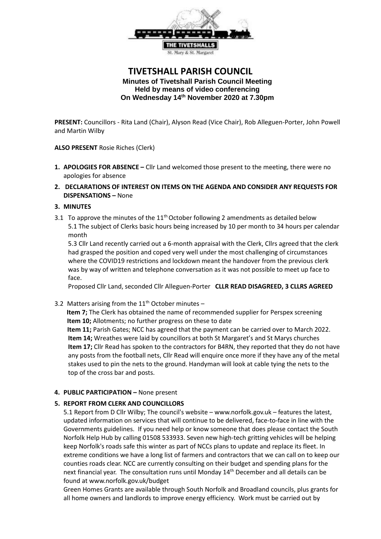

# **TIVETSHALL PARISH COUNCIL Minutes of Tivetshall Parish Council Meeting Held by means of video conferencing On Wednesday 14th November 2020 at 7.30pm**

**PRESENT:** Councillors - Rita Land (Chair), Alyson Read (Vice Chair), Rob Alleguen-Porter, John Powell and Martin Wilby

**ALSO PRESENT** Rosie Riches (Clerk)

- **1. APOLOGIES FOR ABSENCE –** Cllr Land welcomed those present to the meeting, there were no apologies for absence
- **2. DECLARATIONS OF INTEREST ON ITEMS ON THE AGENDA AND CONSIDER ANY REQUESTS FOR DISPENSATIONS –** None

### **3. MINUTES**

3.1 To approve the minutes of the  $11<sup>th</sup>$  October following 2 amendments as detailed below 5.1 The subject of Clerks basic hours being increased by 10 per month to 34 hours per calendar month

5.3 Cllr Land recently carried out a 6-month appraisal with the Clerk, Cllrs agreed that the clerk had grasped the position and coped very well under the most challenging of circumstances where the COVID19 restrictions and lockdown meant the handover from the previous clerk was by way of written and telephone conversation as it was not possible to meet up face to face.

Proposed Cllr Land, seconded Cllr Alleguen-Porter **CLLR READ DISAGREED, 3 CLLRS AGREED**

3.2 Matters arising from the  $11<sup>th</sup>$  October minutes -

 **Item 7;** The Clerk has obtained the name of recommended supplier for Perspex screening **Item 10;** Allotments; no further progress on these to date

 **Item 11;** Parish Gates; NCC has agreed that the payment can be carried over to March 2022. **Item 14;** Wreathes were laid by councillors at both St Margaret's and St Marys churches **Item 17;** Cllr Read has spoken to the contractors for B4RN, they reported that they do not have any posts from the football nets, Cllr Read will enquire once more if they have any of the metal stakes used to pin the nets to the ground. Handyman will look at cable tying the nets to the top of the cross bar and posts.

## **4. PUBLIC PARTICIPATION –** None present

#### **5. REPORT FROM CLERK AND COUNCILLORS**

5.1 Report from D Cllr Wilby; The council's website – [www.norfolk.gov.uk](http://www.norfolk.gov.uk/) – features the latest, updated information on services that will continue to be delivered, face-to-face in line with the Governments guidelines. If you need help or know someone that does please contact the South Norfolk Help Hub by calling 01508 533933. Seven new high-tech gritting vehicles will be helping keep Norfolk's roads safe this winter as part of NCCs plans to update and replace its fleet. In extreme conditions we have a long list of farmers and contractors that we can call on to keep our counties roads clear. NCC are currently consulting on their budget and spending plans for the next financial year. The consultation runs until Monday 14<sup>th</sup> December and all details can be found at [www.norfolk.gov.uk/budget](http://www.norfolk.gov.uk/budget) 

Green Homes Grants are available through South Norfolk and Broadland councils, plus grants for all home owners and landlords to improve energy efficiency. Work must be carried out by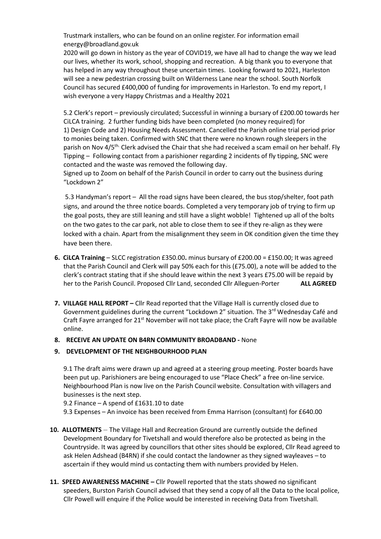Trustmark installers, who can be found on an online register. For information email [energy@broadland.gov.uk](mailto:energy@broadland.gov.uk)

2020 will go down in history as the year of COVID19, we have all had to change the way we lead our lives, whether its work, school, shopping and recreation. A big thank you to everyone that has helped in any way throughout these uncertain times. Looking forward to 2021, Harleston will see a new pedestrian crossing built on Wilderness Lane near the school. South Norfolk Council has secured £400,000 of funding for improvements in Harleston. To end my report, I wish everyone a very Happy Christmas and a Healthy 2021

5.2 Clerk's report – previously circulated; Successful in winning a bursary of £200.00 towards her CiLCA training. 2 further funding bids have been completed (no money required) for 1) Design Code and 2) Housing Needs Assessment. Cancelled the Parish online trial period prior to monies being taken. Confirmed with SNC that there were no known rough sleepers in the parish on Nov 4/5<sup>th.</sup> Clerk advised the Chair that she had received a scam email on her behalf. Fly Tipping – Following contact from a parishioner regarding 2 incidents of fly tipping, SNC were contacted and the waste was removed the following day.

Signed up to Zoom on behalf of the Parish Council in order to carry out the business during "Lockdown 2"

5.3 Handyman's report – All the road signs have been cleared, the bus stop/shelter, foot path signs, and around the three notice boards. Completed a very temporary job of trying to firm up the goal posts, they are still leaning and still have a slight wobble! Tightened up all of the bolts on the two gates to the car park, not able to close them to see if they re-align as they were locked with a chain. Apart from the misalignment they seem in OK condition given the time they have been there.

- **6. CiLCA Training** SLCC registration £350.00**.** minus bursary of £200.00 = £150.00; It was agreed that the Parish Council and Clerk will pay 50% each for this (£75.00), a note will be added to the clerk's contract stating that if she should leave within the next 3 years £75.00 will be repaid by her to the Parish Council. Proposed Cllr Land, seconded Cllr Alleguen-Porter **ALL AGREED**
- **7. VILLAGE HALL REPORT –** Cllr Read reported that the Village Hall is currently closed due to Government guidelines during the current "Lockdown 2" situation. The 3<sup>rd</sup> Wednesday Café and Craft Fayre arranged for 21<sup>st</sup> November will not take place; the Craft Fayre will now be available online.

#### **8. RECEIVE AN UPDATE ON B4RN COMMUNITY BROADBAND -** None

## **9. DEVELOPMENT OF THE NEIGHBOURHOOD PLAN**

9.1 The draft aims were drawn up and agreed at a steering group meeting. Poster boards have been put up. Parishioners are being encouraged to use "Place Check" a free on-line service. Neighbourhood Plan is now live on the Parish Council website. Consultation with villagers and businesses is the next step.

9.2 Finance – A spend of £1631.10 to date

9.3 Expenses – An invoice has been received from Emma Harrison (consultant) for £640.00

- **10. ALLOTMENTS** The Village Hall and Recreation Ground are currently outside the defined Development Boundary for Tivetshall and would therefore also be protected as being in the Countryside. It was agreed by councillors that other sites should be explored, Cllr Read agreed to ask Helen Adshead (B4RN) if she could contact the landowner as they signed wayleaves – to ascertain if they would mind us contacting them with numbers provided by Helen.
- **11. SPEED AWARENESS MACHINE –** Cllr Powell reported that the stats showed no significant speeders, Burston Parish Council advised that they send a copy of all the Data to the local police, Cllr Powell will enquire if the Police would be interested in receiving Data from Tivetshall.